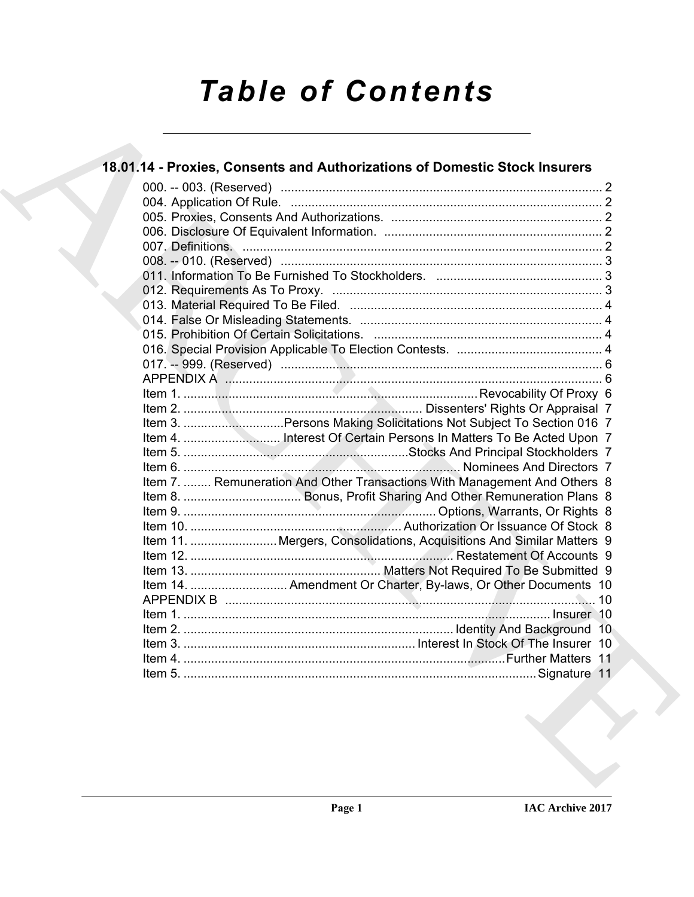# *Table of Contents*

| Item 3. Persons Making Solicitations Not Subject To Section 016 7         |
|---------------------------------------------------------------------------|
|                                                                           |
|                                                                           |
| Item 7.  Remuneration And Other Transactions With Management And Others 8 |
|                                                                           |
|                                                                           |
|                                                                           |
| Item 11.  Mergers, Consolidations, Acquisitions And Similar Matters 9     |
|                                                                           |
|                                                                           |
| Item 14.  Amendment Or Charter, By-laws, Or Other Documents 10            |
|                                                                           |
|                                                                           |
|                                                                           |
|                                                                           |
|                                                                           |
|                                                                           |
|                                                                           |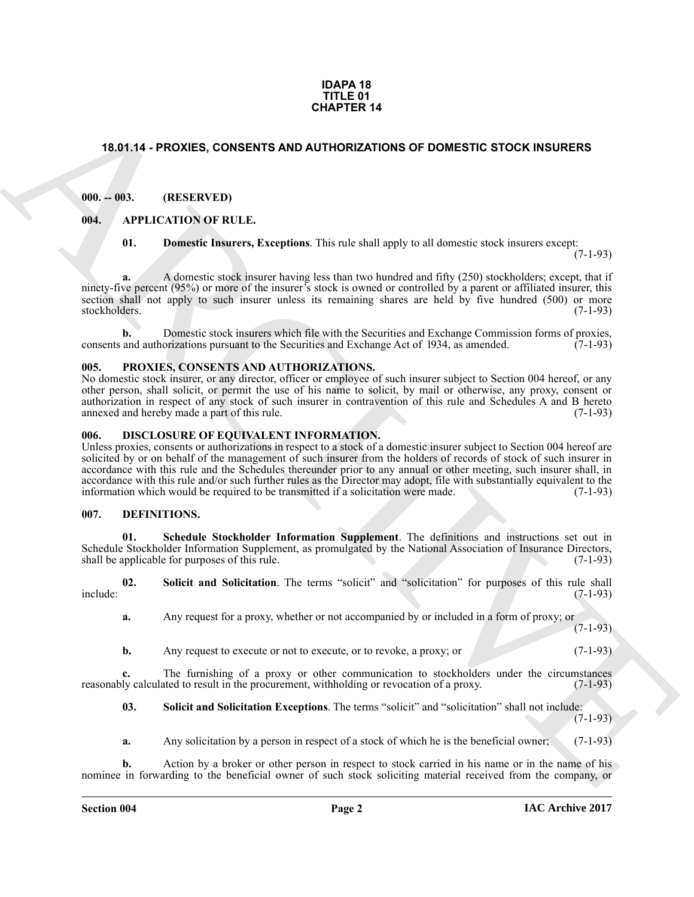#### **IDAPA 18 TITLE 01 CHAPTER 14**

# <span id="page-1-0"></span>**18.01.14 - PROXIES, CONSENTS AND AUTHORIZATIONS OF DOMESTIC STOCK INSURERS**

### <span id="page-1-1"></span>**000. -- 003. (RESERVED)**

#### <span id="page-1-2"></span>**004. APPLICATION OF RULE.**

<span id="page-1-7"></span><span id="page-1-6"></span>**01. Domestic Insurers, Exceptions**. This rule shall apply to all domestic stock insurers except:

 $(7-1-93)$ 

**a.** A domestic stock insurer having less than two hundred and fifty (250) stockholders; except, that if ninety-five percent (95%) or more of the insurer's stock is owned or controlled by a parent or affiliated insurer, this section shall not apply to such insurer unless its remaining shares are held by five hundred (500) or more stockholders.  $(7-1-93)$ stockholders. (7-1-93)

**b.** Domestic stock insurers which file with the Securities and Exchange Commission forms of proxies, and authorizations pursuant to the Securities and Exchange Act of 1934, as amended. (7-1-93) consents and authorizations pursuant to the Securities and Exchange Act of 1934, as amended.

#### <span id="page-1-13"></span><span id="page-1-3"></span>**005. PROXIES, CONSENTS AND AUTHORIZATIONS.**

No domestic stock insurer, or any director, officer or employee of such insurer subject to Section 004 hereof, or any other person, shall solicit, or permit the use of his name to solicit, by mail or otherwise, any proxy, consent or authorization in respect of any stock of such insurer in contravention of this rule and Schedules A and B hereto annexed and hereby made a part of this rule.

#### <span id="page-1-12"></span><span id="page-1-4"></span>**006. DISCLOSURE OF EQUIVALENT INFORMATION.**

**CHAPTER 14**<br>
13.01.14 - PROXIES, CONSERTS AND AUTHORIZATIONS OF DOMESTIC STOCK INSURERS<br>
110. 001. **IDENTIFYIDE**<br>
16. Adversels exact hours: Exceptions. This risk dival projected interesting counterparts and interesting Unless proxies, consents or authorizations in respect to a stock of a domestic insurer subject to Section 004 hereof are solicited by or on behalf of the management of such insurer from the holders of records of stock of such insurer in accordance with this rule and the Schedules thereunder prior to any annual or other meeting, such insurer shall, in accordance with this rule and/or such further rules as the Director may adopt, file with substantially equivalent to the information which would be required to be transmitted if a solicitation were made. (7-1-93)

#### <span id="page-1-8"></span><span id="page-1-5"></span>**007. DEFINITIONS.**

<span id="page-1-9"></span>**01. Schedule Stockholder Information Supplement**. The definitions and instructions set out in Schedule Stockholder Information Supplement, as promulgated by the National Association of Insurance Directors, shall be applicable for purposes of this rule. (7-1-93) shall be applicable for purposes of this rule.

**02. Solicit and Solicitation**. The terms "solicit" and "solicitation" for purposes of this rule shall include: (7-1-93)

<span id="page-1-10"></span>**a.** Any request for a proxy, whether or not accompanied by or included in a form of proxy; or (7-1-93)

**b.** Any request to execute or not to execute, or to revoke, a proxy; or (7-1-93)

**c.** The furnishing of a proxy or other communication to stockholders under the circumstances ly calculated to result in the procurement, withholding or revocation of a proxy. (7-1-93) reasonably calculated to result in the procurement, withholding or revocation of a proxy.

<span id="page-1-11"></span>**03.** Solicit and Solicitation Exceptions. The terms "solicit" and "solicitation" shall not include: (7-1-93)

**a.** Any solicitation by a person in respect of a stock of which he is the beneficial owner; (7-1-93)

**b.** Action by a broker or other person in respect to stock carried in his name or in the name of his nominee in forwarding to the beneficial owner of such stock soliciting material received from the company, or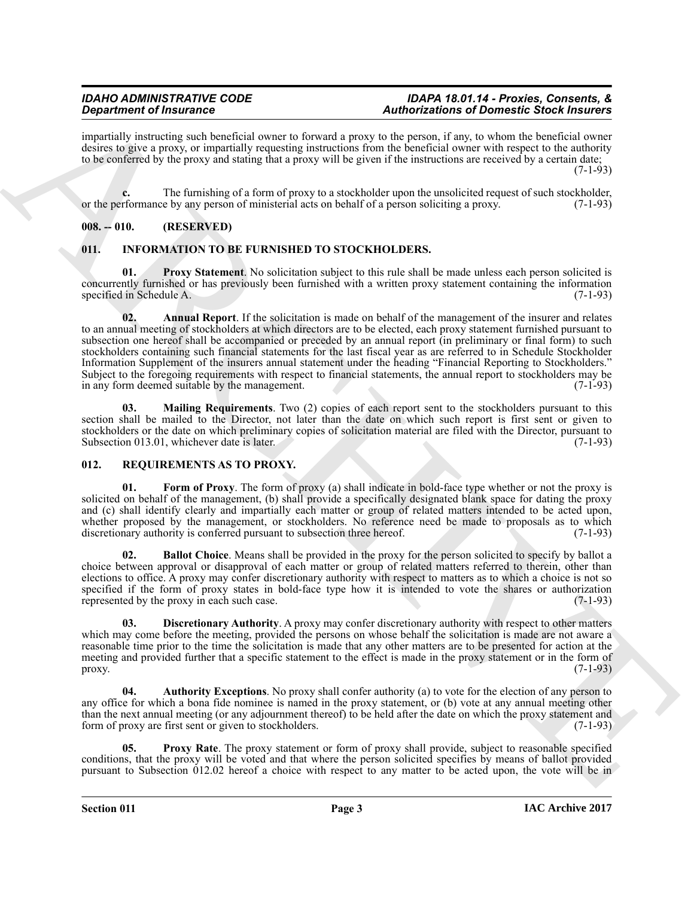impartially instructing such beneficial owner to forward a proxy to the person, if any, to whom the beneficial owner desires to give a proxy, or impartially requesting instructions from the beneficial owner with respect to the authority to be conferred by the proxy and stating that a proxy will be given if the instructions are received by a certain date; (7-1-93)

**c.** The furnishing of a form of proxy to a stockholder upon the unsolicited request of such stockholder, rformance by any person of ministerial acts on behalf of a person soliciting a proxy. (7-1-93) or the performance by any person of ministerial acts on behalf of a person soliciting a proxy.

# <span id="page-2-0"></span>**008. -- 010. (RESERVED)**

# <span id="page-2-3"></span><span id="page-2-1"></span>**011. INFORMATION TO BE FURNISHED TO STOCKHOLDERS.**

<span id="page-2-6"></span><span id="page-2-4"></span>**01. Proxy Statement**. No solicitation subject to this rule shall be made unless each person solicited is concurrently furnished or has previously been furnished with a written proxy statement containing the information specified in Schedule A. (7-1-93)

**Experimental in the state of the state of the state of European School Research (Section 20)**<br>
The state of the state of the state of the state of the state of the state of the state of the state of the state of the stat **02. Annual Report**. If the solicitation is made on behalf of the management of the insurer and relates to an annual meeting of stockholders at which directors are to be elected, each proxy statement furnished pursuant to subsection one hereof shall be accompanied or preceded by an annual report (in preliminary or final form) to such stockholders containing such financial statements for the last fiscal year as are referred to in Schedule Stockholder Information Supplement of the insurers annual statement under the heading "Financial Reporting to Stockholders." Subject to the foregoing requirements with respect to financial statements, the annual report to stockholders may be in any form deemed suitable by the management. in any form deemed suitable by the management.

<span id="page-2-5"></span>**03. Mailing Requirements**. Two (2) copies of each report sent to the stockholders pursuant to this section shall be mailed to the Director, not later than the date on which such report is first sent or given to stockholders or the date on which preliminary copies of solicitation material are filed with the Director, pursuant to Subsection 013.01, whichever date is later. Subsection 013.01, whichever date is later.

# <span id="page-2-7"></span><span id="page-2-2"></span>**012. REQUIREMENTS AS TO PROXY.**

<span id="page-2-11"></span>**01. Form of Proxy**. The form of proxy (a) shall indicate in bold-face type whether or not the proxy is solicited on behalf of the management, (b) shall provide a specifically designated blank space for dating the proxy and (c) shall identify clearly and impartially each matter or group of related matters intended to be acted upon, whether proposed by the management, or stockholders. No reference need be made to proposals as to which discretionary authority is conferred pursuant to subsection three hereof. (7-1-93) discretionary authority is conferred pursuant to subsection three hereof.

<span id="page-2-9"></span>**02. Ballot Choice**. Means shall be provided in the proxy for the person solicited to specify by ballot a choice between approval or disapproval of each matter or group of related matters referred to therein, other than elections to office. A proxy may confer discretionary authority with respect to matters as to which a choice is not so specified if the form of proxy states in bold-face type how it is intended to vote the shares or authorization represented by the proxy in each such case.  $(7-1-93)$ represented by the proxy in each such case.

<span id="page-2-10"></span>**03. Discretionary Authority**. A proxy may confer discretionary authority with respect to other matters which may come before the meeting, provided the persons on whose behalf the solicitation is made are not aware a reasonable time prior to the time the solicitation is made that any other matters are to be presented for action at the meeting and provided further that a specific statement to the effect is made in the proxy statement or in the form of proxy.  $(7-1-93)$ 

<span id="page-2-8"></span>**04. Authority Exceptions**. No proxy shall confer authority (a) to vote for the election of any person to any office for which a bona fide nominee is named in the proxy statement, or (b) vote at any annual meeting other than the next annual meeting (or any adjournment thereof) to be held after the date on which the proxy statement and<br>form of proxy are first sent or given to stockholders. (7-1-93) form of proxy are first sent or given to stockholders.

<span id="page-2-12"></span>**05.** Proxy Rate. The proxy statement or form of proxy shall provide, subject to reasonable specified conditions, that the proxy will be voted and that where the person solicited specifies by means of ballot provided pursuant to Subsection 012.02 hereof a choice with respect to any matter to be acted upon, the vote will be in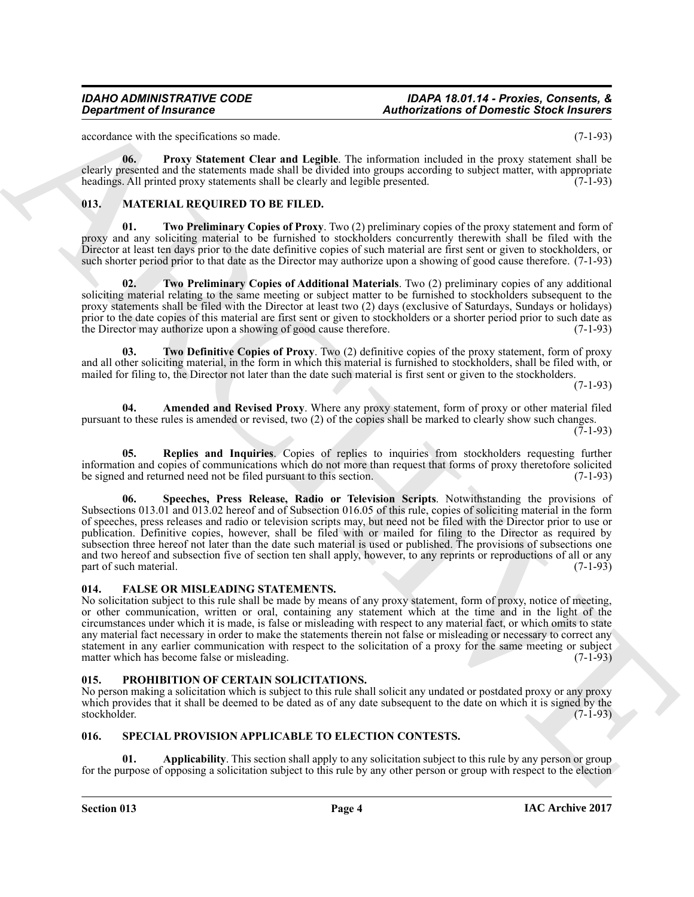### *IDAHO ADMINISTRATIVE CODE IDAPA 18.01.14 - Proxies, Consents, & Department of Insurance Authorizations of Domestic Stock Insurers*

accordance with the specifications so made. (7-1-93)

<span id="page-3-13"></span>**06. Proxy Statement Clear and Legible**. The information included in the proxy statement shall be clearly presented and the statements made shall be divided into groups according to subject matter, with appropriate headings. All printed proxy statements shall be clearly and legible presented. (7-1-93)

# <span id="page-3-5"></span><span id="page-3-0"></span>**013. MATERIAL REQUIRED TO BE FILED.**

<span id="page-3-11"></span>**01. Two Preliminary Copies of Proxy**. Two (2) preliminary copies of the proxy statement and form of proxy and any soliciting material to be furnished to stockholders concurrently therewith shall be filed with the Director at least ten days prior to the date definitive copies of such material are first sent or given to stockholders, or such shorter period prior to that date as the Director may authorize upon a showing of good cause therefore. (7-1-93)

<span id="page-3-10"></span>**02. Two Preliminary Copies of Additional Materials**. Two (2) preliminary copies of any additional soliciting material relating to the same meeting or subject matter to be furnished to stockholders subsequent to the proxy statements shall be filed with the Director at least two (2) days (exclusive of Saturdays, Sundays or holidays) prior to the date copies of this material are first sent or given to stockholders or a shorter period prior to such date as<br>the Director may authorize upon a showing of good cause therefore. (7-1-93) the Director may authorize upon a showing of good cause therefore.

<span id="page-3-9"></span>**03. Two Definitive Copies of Proxy**. Two (2) definitive copies of the proxy statement, form of proxy and all other soliciting material, in the form in which this material is furnished to stockholders, shall be filed with, or mailed for filing to, the Director not later than the date such material is first sent or given to the stockholders.

(7-1-93)

<span id="page-3-6"></span>**04. Amended and Revised Proxy**. Where any proxy statement, form of proxy or other material filed pursuant to these rules is amended or revised, two (2) of the copies shall be marked to clearly show such changes. (7-1-93)

<span id="page-3-8"></span><span id="page-3-7"></span>**05. Replies and Inquiries**. Copies of replies to inquiries from stockholders requesting further information and copies of communications which do not more than request that forms of proxy theretofore solicited<br>be signed and returned need not be filed pursuant to this section. (7-1-93) be signed and returned need not be filed pursuant to this section.

*Construent of Insurance*<br> **Authorizations of Domestic Substitute are analyzed to the interval of the proposition of Domestic Substitute and the proposition of the system of the system of the system of the system of the 06. Speeches, Press Release, Radio or Television Scripts**. Notwithstanding the provisions of Subsections 013.01 and 013.02 hereof and of Subsection 016.05 of this rule, copies of soliciting material in the form of speeches, press releases and radio or television scripts may, but need not be filed with the Director prior to use or publication. Definitive copies, however, shall be filed with or mailed for filing to the Director as required by subsection three hereof not later than the date such material is used or published. The provisions of subsections one and two hereof and subsection five of section ten shall apply, however, to any reprints or reproductions of all or any part of such material. (7-1-93)

# <span id="page-3-4"></span><span id="page-3-1"></span>**014. FALSE OR MISLEADING STATEMENTS.**

No solicitation subject to this rule shall be made by means of any proxy statement, form of proxy, notice of meeting, or other communication, written or oral, containing any statement which at the time and in the light of the circumstances under which it is made, is false or misleading with respect to any material fact, or which omits to state any material fact necessary in order to make the statements therein not false or misleading or necessary to correct any statement in any earlier communication with respect to the solicitation of a proxy for the same meeting or subject matter which has become false or misleading. (7-1-93) matter which has become false or misleading.

# <span id="page-3-12"></span><span id="page-3-2"></span>**015. PROHIBITION OF CERTAIN SOLICITATIONS.**

No person making a solicitation which is subject to this rule shall solicit any undated or postdated proxy or any proxy which provides that it shall be deemed to be dated as of any date subsequent to the date on which it is signed by the stockholder. (7-1-93)

# <span id="page-3-14"></span><span id="page-3-3"></span>**016. SPECIAL PROVISION APPLICABLE TO ELECTION CONTESTS.**

**Applicability**. This section shall apply to any solicitation subject to this rule by any person or group for the purpose of opposing a solicitation subject to this rule by any other person or group with respect to the election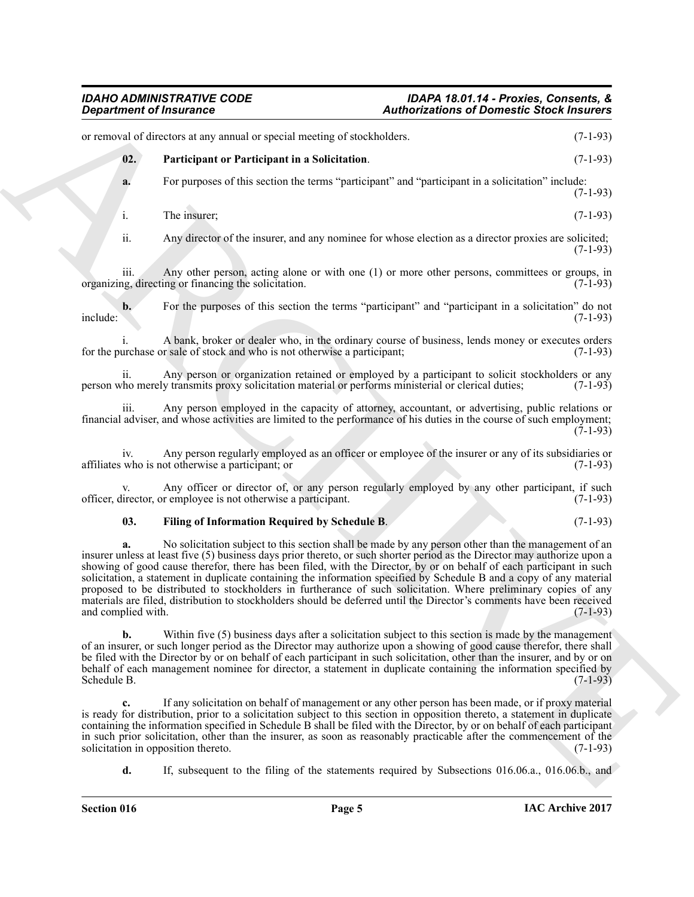<span id="page-4-1"></span><span id="page-4-0"></span>

| <b>Department of Insurance</b> |                                                                                                                                                                                                                                                                                                                                                                                                                                                                                                                                                                                                                       | <b>Authorizations of Domestic Stock Insurers</b>                                                     |            |
|--------------------------------|-----------------------------------------------------------------------------------------------------------------------------------------------------------------------------------------------------------------------------------------------------------------------------------------------------------------------------------------------------------------------------------------------------------------------------------------------------------------------------------------------------------------------------------------------------------------------------------------------------------------------|------------------------------------------------------------------------------------------------------|------------|
|                                | or removal of directors at any annual or special meeting of stockholders.                                                                                                                                                                                                                                                                                                                                                                                                                                                                                                                                             |                                                                                                      | $(7-1-93)$ |
| 02.                            | Participant or Participant in a Solicitation.                                                                                                                                                                                                                                                                                                                                                                                                                                                                                                                                                                         |                                                                                                      | $(7-1-93)$ |
| a.                             |                                                                                                                                                                                                                                                                                                                                                                                                                                                                                                                                                                                                                       | For purposes of this section the terms "participant" and "participant in a solicitation" include:    | $(7-1-93)$ |
| i.                             | The insurer;                                                                                                                                                                                                                                                                                                                                                                                                                                                                                                                                                                                                          |                                                                                                      | $(7-1-93)$ |
| ii.                            |                                                                                                                                                                                                                                                                                                                                                                                                                                                                                                                                                                                                                       | Any director of the insurer, and any nominee for whose election as a director proxies are solicited; | $(7-1-93)$ |
| iii.                           | organizing, directing or financing the solicitation.                                                                                                                                                                                                                                                                                                                                                                                                                                                                                                                                                                  | Any other person, acting alone or with one (1) or more other persons, committees or groups, in       | $(7-1-93)$ |
| $\mathbf{b}$ .<br>include:     |                                                                                                                                                                                                                                                                                                                                                                                                                                                                                                                                                                                                                       | For the purposes of this section the terms "participant" and "participant in a solicitation" do not  | $(7-1-93)$ |
|                                | for the purchase or sale of stock and who is not otherwise a participant;                                                                                                                                                                                                                                                                                                                                                                                                                                                                                                                                             | A bank, broker or dealer who, in the ordinary course of business, lends money or executes orders     | $(7-1-93)$ |
| 11.                            | person who merely transmits proxy solicitation material or performs ministerial or clerical duties;                                                                                                                                                                                                                                                                                                                                                                                                                                                                                                                   | Any person or organization retained or employed by a participant to solicit stockholders or any      | $(7-1-93)$ |
| <i>iii.</i>                    | financial adviser, and whose activities are limited to the performance of his duties in the course of such employment;                                                                                                                                                                                                                                                                                                                                                                                                                                                                                                | Any person employed in the capacity of attorney, accountant, or advertising, public relations or     | $(7-1-93)$ |
| 1V.                            | affiliates who is not otherwise a participant; or                                                                                                                                                                                                                                                                                                                                                                                                                                                                                                                                                                     | Any person regularly employed as an officer or employee of the insurer or any of its subsidiaries or | $(7-1-93)$ |
| V.                             | officer, director, or employee is not otherwise a participant.                                                                                                                                                                                                                                                                                                                                                                                                                                                                                                                                                        | Any officer or director of, or any person regularly employed by any other participant, if such       | $(7-1-93)$ |
| 03.                            | Filing of Information Required by Schedule B.                                                                                                                                                                                                                                                                                                                                                                                                                                                                                                                                                                         |                                                                                                      | $(7-1-93)$ |
| a.<br>and complied with.       | insurer unless at least five (5) business days prior thereto, or such shorter period as the Director may authorize upon a<br>showing of good cause therefor, there has been filed, with the Director, by or on behalf of each participant in such<br>solicitation, a statement in duplicate containing the information specified by Schedule B and a copy of any material<br>proposed to be distributed to stockholders in furtherance of such solicitation. Where preliminary copies of any<br>materials are filed, distribution to stockholders should be deferred until the Director's comments have been received | No solicitation subject to this section shall be made by any person other than the management of an  | $(7-1-93)$ |
| $\mathbf{b}$ .<br>Schedule B.  | of an insurer, or such longer period as the Director may authorize upon a showing of good cause therefor, there shall<br>be filed with the Director by or on behalf of each participant in such solicitation, other than the insurer, and by or on<br>behalf of each management nominee for director, a statement in duplicate containing the information specified by                                                                                                                                                                                                                                                | Within five (5) business days after a solicitation subject to this section is made by the management | $(7-1-93)$ |
| c.                             | is ready for distribution, prior to a solicitation subject to this section in opposition thereto, a statement in duplicate<br>containing the information specified in Schedule B shall be filed with the Director, by or on behalf of each participant<br>in such prior solicitation, other than the insurer, as soon as reasonably practicable after the commencement of the<br>solicitation in opposition thereto.                                                                                                                                                                                                  | If any solicitation on behalf of management or any other person has been made, or if proxy material  | $(7-1-93)$ |
| d.                             | If, subsequent to the filing of the statements required by Subsections 016.06.a., 016.06.b., and                                                                                                                                                                                                                                                                                                                                                                                                                                                                                                                      |                                                                                                      |            |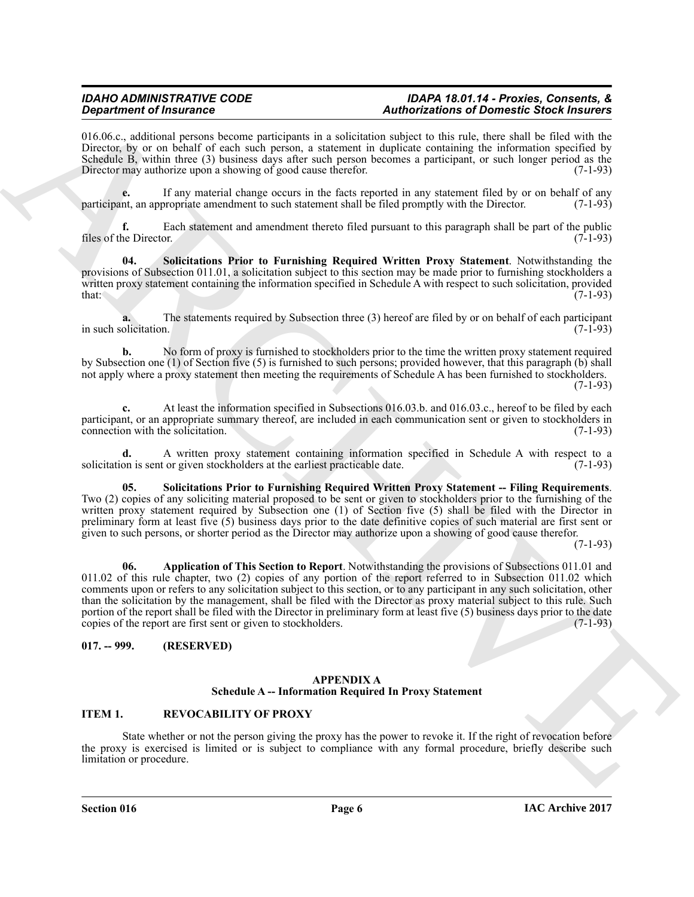#### *IDAHO ADMINISTRATIVE CODE IDAPA 18.01.14 - Proxies, Consents, & Department of Insurance Authorizations of Domestic Stock Insurers*

016.06.c., additional persons become participants in a solicitation subject to this rule, there shall be filed with the Director, by or on behalf of each such person, a statement in duplicate containing the information specified by Schedule B, within three (3) business days after such person becomes a participant, or such longer period as the Director may authorize upon a showing of good cause therefor. (7-1-93)

If any material change occurs in the facts reported in any statement filed by or on behalf of any propriate amendment to such statement shall be filed promptly with the Director. (7-1-93) participant, an appropriate amendment to such statement shall be filed promptly with the Director.

**f.** Each statement and amendment thereto filed pursuant to this paragraph shall be part of the public files of the Director. (7-1-93)

<span id="page-5-6"></span>**04. Solicitations Prior to Furnishing Required Written Proxy Statement**. Notwithstanding the provisions of Subsection 011.01, a solicitation subject to this section may be made prior to furnishing stockholders a written proxy statement containing the information specified in Schedule A with respect to such solicitation, provided  $\text{that:} \quad (7-1-93)$ 

**a.** The statements required by Subsection three (3) hereof are filed by or on behalf of each participant (7-1-93) in such solicitation.

**b.** No form of proxy is furnished to stockholders prior to the time the written proxy statement required by Subsection one (1) of Section five (5) is furnished to such persons; provided however, that this paragraph (b) shall not apply where a proxy statement then meeting the requirements of Schedule A has been furnished to stockholders. (7-1-93)

At least the information specified in Subsections 016.03.b. and 016.03.c., hereof to be filed by each participant, or an appropriate summary thereof, are included in each communication sent or given to stockholders in connection with the solicitation. (7-1-93) connection with the solicitation.

**d.** A written proxy statement containing information specified in Schedule A with respect to a solicitation is sent or given stockholders at the earliest practicable date.

<span id="page-5-7"></span><span id="page-5-5"></span>**05. Solicitations Prior to Furnishing Required Written Proxy Statement -- Filing Requirements**. Two (2) copies of any soliciting material proposed to be sent or given to stockholders prior to the furnishing of the written proxy statement required by Subsection one (1) of Section five (5) shall be filed with the Director in preliminary form at least five (5) business days prior to the date definitive copies of such material are first sent or given to such persons, or shorter period as the Director may authorize upon a showing of good cause therefor.

(7-1-93)

**Statistics of Francesco Constrainers** Associated as a substitute which can be determined by the statistic statistics of the statistic statistics of the statistic statistics of the statistic statistics of the statistic st **06. Application of This Section to Report**. Notwithstanding the provisions of Subsections 011.01 and 011.02 of this rule chapter, two (2) copies of any portion of the report referred to in Subsection 011.02 which comments upon or refers to any solicitation subject to this section, or to any participant in any such solicitation, other than the solicitation by the management, shall be filed with the Director as proxy material subject to this rule. Such portion of the report shall be filed with the Director in preliminary form at least five (5) business days prior to the date copies of the report are first sent or given to stockholders. (7-1-93) copies of the report are first sent or given to stockholders.

# <span id="page-5-1"></span><span id="page-5-0"></span>**017. -- 999. (RESERVED)**

#### <span id="page-5-4"></span><span id="page-5-3"></span>**APPENDIX A Schedule A -- Information Required In Proxy Statement**

# <span id="page-5-2"></span>**ITEM 1. REVOCABILITY OF PROXY**

State whether or not the person giving the proxy has the power to revoke it. If the right of revocation before the proxy is exercised is limited or is subject to compliance with any formal procedure, briefly describe such limitation or procedure.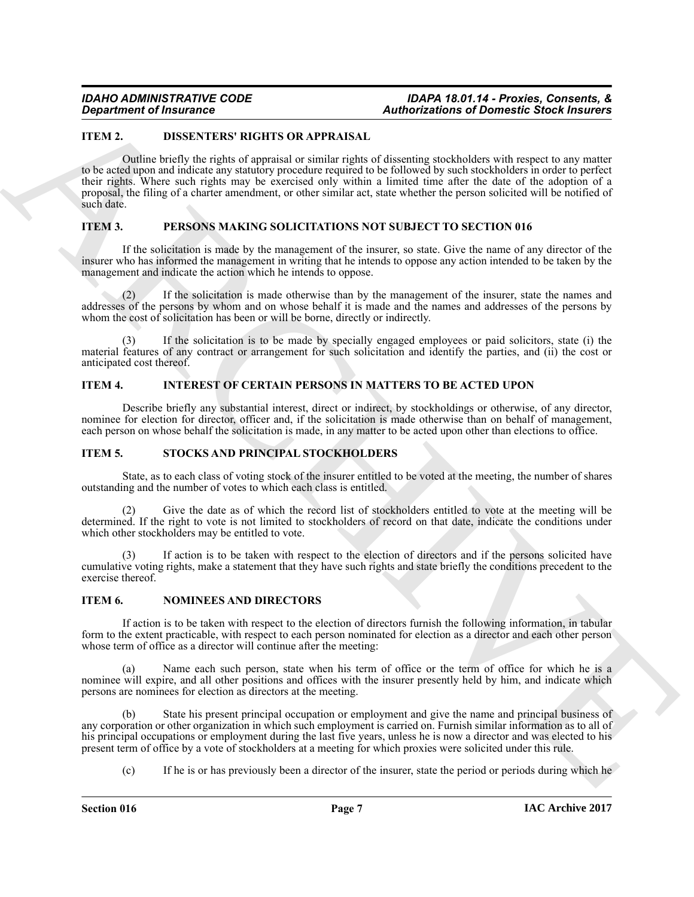# <span id="page-6-0"></span>**ITEM 2. DISSENTERS' RIGHTS OR APPRAISAL**

*Construent of Insurance*<br> **Admosizations of Domestic Study Here**<br> **LEVAL IDENTIFY INTERFERICANT CONSTRUENTS.**<br>
The study of the study of the study of the study of the study of the study of the study of the study of the Outline briefly the rights of appraisal or similar rights of dissenting stockholders with respect to any matter to be acted upon and indicate any statutory procedure required to be followed by such stockholders in order to perfect their rights. Where such rights may be exercised only within a limited time after the date of the adoption of a proposal, the filing of a charter amendment, or other similar act, state whether the person solicited will be notified of such date.

### <span id="page-6-1"></span>**ITEM 3. PERSONS MAKING SOLICITATIONS NOT SUBJECT TO SECTION 016**

If the solicitation is made by the management of the insurer, so state. Give the name of any director of the insurer who has informed the management in writing that he intends to oppose any action intended to be taken by the management and indicate the action which he intends to oppose.

(2) If the solicitation is made otherwise than by the management of the insurer, state the names and addresses of the persons by whom and on whose behalf it is made and the names and addresses of the persons by whom the cost of solicitation has been or will be borne, directly or indirectly.

If the solicitation is to be made by specially engaged employees or paid solicitors, state (i) the material features of any contract or arrangement for such solicitation and identify the parties, and (ii) the cost or anticipated cost thereof.

### <span id="page-6-2"></span>**ITEM 4. INTEREST OF CERTAIN PERSONS IN MATTERS TO BE ACTED UPON**

Describe briefly any substantial interest, direct or indirect, by stockholdings or otherwise, of any director, nominee for election for director, officer and, if the solicitation is made otherwise than on behalf of management, each person on whose behalf the solicitation is made, in any matter to be acted upon other than elections to office.

#### <span id="page-6-3"></span>**ITEM 5. STOCKS AND PRINCIPAL STOCKHOLDERS**

State, as to each class of voting stock of the insurer entitled to be voted at the meeting, the number of shares outstanding and the number of votes to which each class is entitled.

Give the date as of which the record list of stockholders entitled to vote at the meeting will be determined. If the right to vote is not limited to stockholders of record on that date, indicate the conditions under which other stockholders may be entitled to vote.

If action is to be taken with respect to the election of directors and if the persons solicited have cumulative voting rights, make a statement that they have such rights and state briefly the conditions precedent to the exercise thereof.

#### <span id="page-6-4"></span>**ITEM 6. NOMINEES AND DIRECTORS**

If action is to be taken with respect to the election of directors furnish the following information, in tabular form to the extent practicable, with respect to each person nominated for election as a director and each other person whose term of office as a director will continue after the meeting:

Name each such person, state when his term of office or the term of office for which he is a nominee will expire, and all other positions and offices with the insurer presently held by him, and indicate which persons are nominees for election as directors at the meeting.

State his present principal occupation or employment and give the name and principal business of any corporation or other organization in which such employment is carried on. Furnish similar information as to all of his principal occupations or employment during the last five years, unless he is now a director and was elected to his present term of office by a vote of stockholders at a meeting for which proxies were solicited under this rule.

(c) If he is or has previously been a director of the insurer, state the period or periods during which he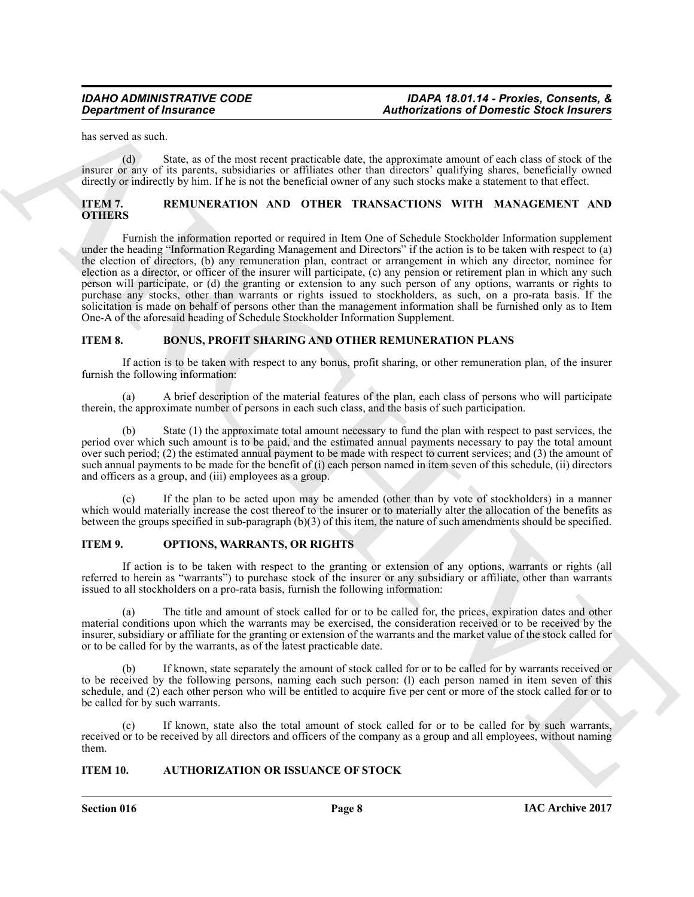has served as such.

(d) State, as of the most recent practicable date, the approximate amount of each class of stock of the insurer or any of its parents, subsidiaries or affiliates other than directors' qualifying shares, beneficially owned directly or indirectly by him. If he is not the beneficial owner of any such stocks make a statement to that effect.

### <span id="page-7-0"></span>**ITEM 7. REMUNERATION AND OTHER TRANSACTIONS WITH MANAGEMENT AND OTHERS**

**Equivariant of Insurance<br>
Equivariants Construction of Domestic Studies and the subset of Domestic Studies and<br>
Higher Construction of the subset of the subset of the subset of the subset of the subset of the subset of t** Furnish the information reported or required in Item One of Schedule Stockholder Information supplement under the heading "Information Regarding Management and Directors" if the action is to be taken with respect to (a) the election of directors, (b) any remuneration plan, contract or arrangement in which any director, nominee for election as a director, or officer of the insurer will participate, (c) any pension or retirement plan in which any such person will participate, or (d) the granting or extension to any such person of any options, warrants or rights to purchase any stocks, other than warrants or rights issued to stockholders, as such, on a pro-rata basis. If the solicitation is made on behalf of persons other than the management information shall be furnished only as to Item One-A of the aforesaid heading of Schedule Stockholder Information Supplement.

#### <span id="page-7-1"></span>**ITEM 8. BONUS, PROFIT SHARING AND OTHER REMUNERATION PLANS**

If action is to be taken with respect to any bonus, profit sharing, or other remuneration plan, of the insurer furnish the following information:

(a) A brief description of the material features of the plan, each class of persons who will participate therein, the approximate number of persons in each such class, and the basis of such participation.

(b) State (1) the approximate total amount necessary to fund the plan with respect to past services, the period over which such amount is to be paid, and the estimated annual payments necessary to pay the total amount over such period; (2) the estimated annual payment to be made with respect to current services; and (3) the amount of such annual payments to be made for the benefit of (i) each person named in item seven of this schedule, (ii) directors and officers as a group, and (iii) employees as a group.

(c) If the plan to be acted upon may be amended (other than by vote of stockholders) in a manner which would materially increase the cost thereof to the insurer or to materially alter the allocation of the benefits as between the groups specified in sub-paragraph (b)(3) of this item, the nature of such amendments should be specified.

#### <span id="page-7-2"></span>**ITEM 9. OPTIONS, WARRANTS, OR RIGHTS**

If action is to be taken with respect to the granting or extension of any options, warrants or rights (all referred to herein as "warrants") to purchase stock of the insurer or any subsidiary or affiliate, other than warrants issued to all stockholders on a pro-rata basis, furnish the following information:

(a) The title and amount of stock called for or to be called for, the prices, expiration dates and other material conditions upon which the warrants may be exercised, the consideration received or to be received by the insurer, subsidiary or affiliate for the granting or extension of the warrants and the market value of the stock called for or to be called for by the warrants, as of the latest practicable date.

If known, state separately the amount of stock called for or to be called for by warrants received or to be received by the following persons, naming each such person: (l) each person named in item seven of this schedule, and (2) each other person who will be entitled to acquire five per cent or more of the stock called for or to be called for by such warrants.

(c) If known, state also the total amount of stock called for or to be called for by such warrants, received or to be received by all directors and officers of the company as a group and all employees, without naming them.

#### <span id="page-7-3"></span>**ITEM 10. AUTHORIZATION OR ISSUANCE OF STOCK**

**Section 016 Page 8**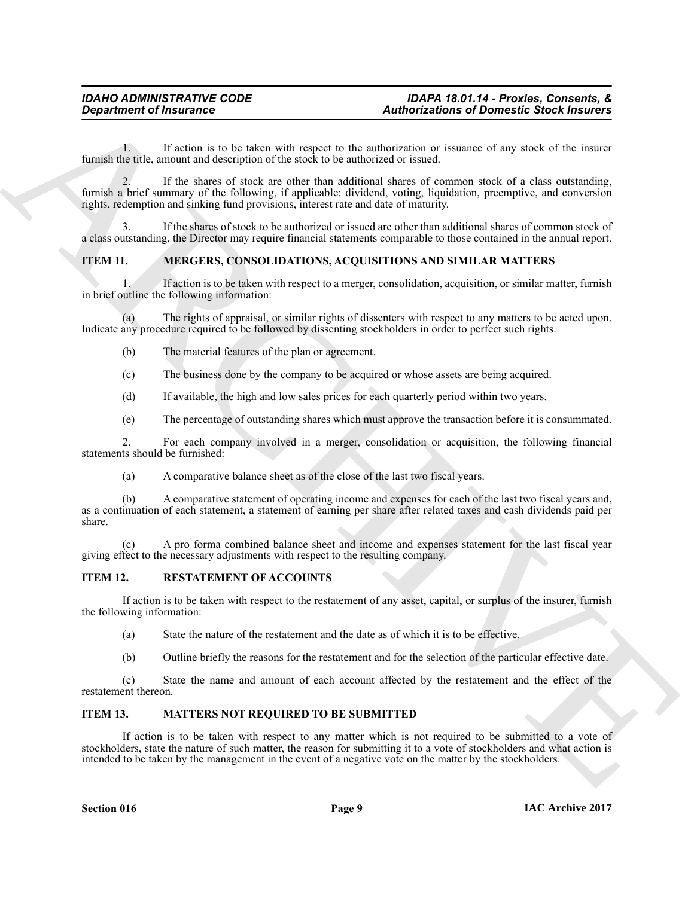1. If action is to be taken with respect to the authorization or issuance of any stock of the insurer furnish the title, amount and description of the stock to be authorized or issued.

*Considerable of Insurance*<br> **Authorization's of Domestic Substitutes**<br> **Authorization's of Domestic Substitutes**<br> **Considerable and the state of distribution** of the state of the state of the state of the state of the 2. If the shares of stock are other than additional shares of common stock of a class outstanding, furnish a brief summary of the following, if applicable: dividend, voting, liquidation, preemptive, and conversion rights, redemption and sinking fund provisions, interest rate and date of maturity.

If the shares of stock to be authorized or issued are other than additional shares of common stock of a class outstanding, the Director may require financial statements comparable to those contained in the annual report.

# <span id="page-8-0"></span>**ITEM 11. MERGERS, CONSOLIDATIONS, ACQUISITIONS AND SIMILAR MATTERS**

1. If action is to be taken with respect to a merger, consolidation, acquisition, or similar matter, furnish in brief outline the following information:

(a) The rights of appraisal, or similar rights of dissenters with respect to any matters to be acted upon. Indicate any procedure required to be followed by dissenting stockholders in order to perfect such rights.

- (b) The material features of the plan or agreement.
- (c) The business done by the company to be acquired or whose assets are being acquired.
- (d) If available, the high and low sales prices for each quarterly period within two years.
- (e) The percentage of outstanding shares which must approve the transaction before it is consummated.

2. For each company involved in a merger, consolidation or acquisition, the following financial statements should be furnished:

(a) A comparative balance sheet as of the close of the last two fiscal years.

(b) A comparative statement of operating income and expenses for each of the last two fiscal years and, as a continuation of each statement, a statement of earning per share after related taxes and cash dividends paid per share.

(c) A pro forma combined balance sheet and income and expenses statement for the last fiscal year giving effect to the necessary adjustments with respect to the resulting company.

#### <span id="page-8-1"></span>**ITEM 12. RESTATEMENT OF ACCOUNTS**

If action is to be taken with respect to the restatement of any asset, capital, or surplus of the insurer, furnish the following information:

- (a) State the nature of the restatement and the date as of which it is to be effective.
- (b) Outline briefly the reasons for the restatement and for the selection of the particular effective date.

(c) State the name and amount of each account affected by the restatement and the effect of the restatement thereon.

# <span id="page-8-2"></span>**ITEM 13. MATTERS NOT REQUIRED TO BE SUBMITTED**

If action is to be taken with respect to any matter which is not required to be submitted to a vote of stockholders, state the nature of such matter, the reason for submitting it to a vote of stockholders and what action is intended to be taken by the management in the event of a negative vote on the matter by the stockholders.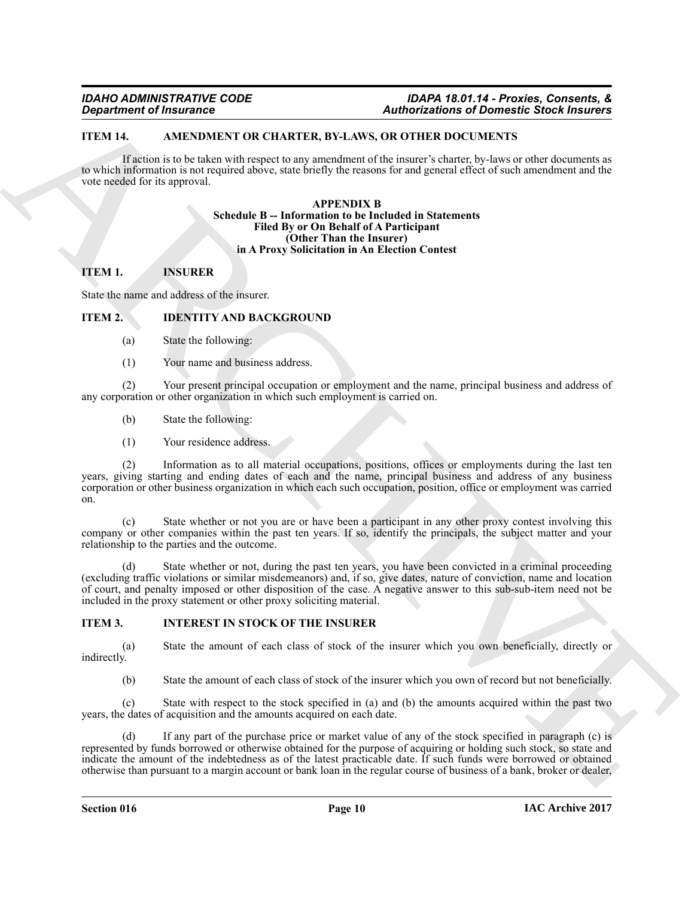# <span id="page-9-0"></span>**ITEM 14. AMENDMENT OR CHARTER, BY-LAWS, OR OTHER DOCUMENTS**

<span id="page-9-1"></span>If action is to be taken with respect to any amendment of the insurer's charter, by-laws or other documents as to which information is not required above, state briefly the reasons for and general effect of such amendment and the vote needed for its approval.

#### <span id="page-9-6"></span><span id="page-9-5"></span>**APPENDIX B Schedule B -- Information to be Included in Statements Filed By or On Behalf of A Participant (Other Than the Insurer) in A Proxy Solicitation in An Election Contest**

# <span id="page-9-2"></span>**ITEM 1. INSURER**

State the name and address of the insurer.

# <span id="page-9-3"></span>**ITEM 2. IDENTITY AND BACKGROUND**

- (a) State the following:
- (1) Your name and business address.

(2) Your present principal occupation or employment and the name, principal business and address of any corporation or other organization in which such employment is carried on.

- (b) State the following:
- (1) Your residence address.

(2) Information as to all material occupations, positions, offices or employments during the last ten years, giving starting and ending dates of each and the name, principal business and address of any business corporation or other business organization in which each such occupation, position, office or employment was carried on.

(c) State whether or not you are or have been a participant in any other proxy contest involving this company or other companies within the past ten years. If so, identify the principals, the subject matter and your relationship to the parties and the outcome.

State whether or not, during the past ten years, you have been convicted in a criminal proceeding (excluding traffic violations or similar misdemeanors) and, if so, give dates, nature of conviction, name and location of court, and penalty imposed or other disposition of the case. A negative answer to this sub-sub-item need not be included in the proxy statement or other proxy soliciting material.

# <span id="page-9-4"></span>**ITEM 3. INTEREST IN STOCK OF THE INSURER**

(a) State the amount of each class of stock of the insurer which you own beneficially, directly or indirectly.

(b) State the amount of each class of stock of the insurer which you own of record but not beneficially.

(c) State with respect to the stock specified in (a) and (b) the amounts acquired within the past two years, the dates of acquisition and the amounts acquired on each date.

**Equivalent of Insurance \*\*\*\***<br> **ARCHIVENTS INTERFERIT INTERFERIT AND ARCHIVENTS OF THE INSURANCE CONTRACT (SOFT INTERFERIT AND CONTRACT INTERFERIT AND CONTRACT INTERFERIT AND CONTRACT INTERFERIT AND CONTRACT INTERFERIT A** (d) If any part of the purchase price or market value of any of the stock specified in paragraph (c) is represented by funds borrowed or otherwise obtained for the purpose of acquiring or holding such stock, so state and indicate the amount of the indebtedness as of the latest practicable date. If such funds were borrowed or obtained otherwise than pursuant to a margin account or bank loan in the regular course of business of a bank, broker or dealer,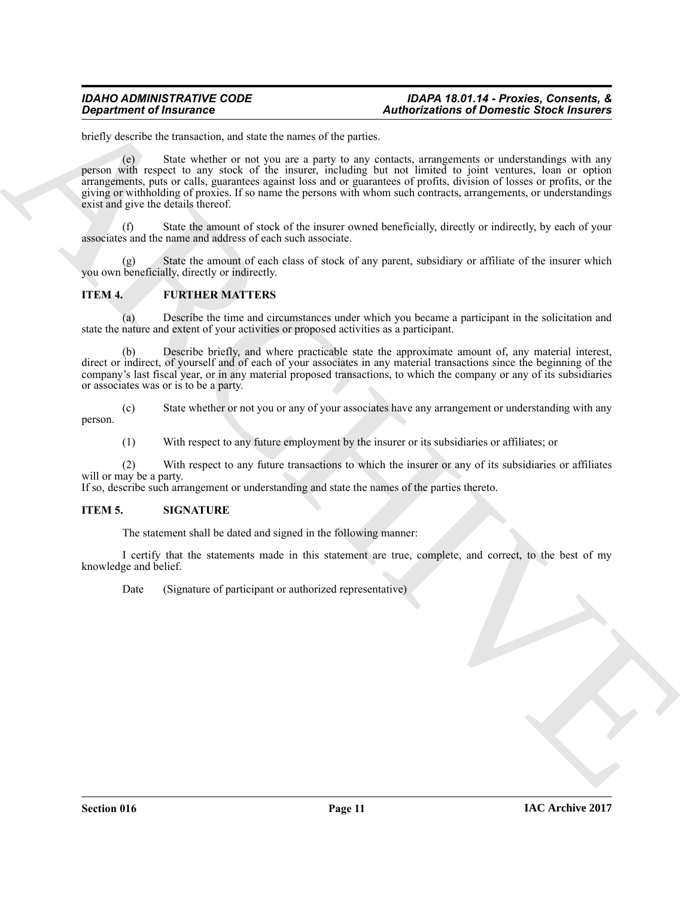#### *IDAHO ADMINISTRATIVE CODE IDAPA 18.01.14 - Proxies, Consents, & Department of Insurance Authorizations of Domestic Stock Insurers*

briefly describe the transaction, and state the names of the parties.

*Authorization of Insurance*<br>
Brian Matter (and the same of the pairs, and shall the tames of the pairs, and the pairs contains a protocon-<br>
The pairs of the same of the same of the pairs contains a protocon-<br>
pairs of (e) State whether or not you are a party to any contacts, arrangements or understandings with any person with respect to any stock of the insurer, including but not limited to joint ventures, loan or option arrangements, puts or calls, guarantees against loss and or guarantees of profits, division of losses or profits, or the giving or withholding of proxies. If so name the persons with whom such contracts, arrangements, or understandings exist and give the details thereof.

(f) State the amount of stock of the insurer owned beneficially, directly or indirectly, by each of your associates and the name and address of each such associate.

State the amount of each class of stock of any parent, subsidiary or affiliate of the insurer which you own beneficially, directly or indirectly.

# <span id="page-10-0"></span>**ITEM 4. FURTHER MATTERS**

(a) Describe the time and circumstances under which you became a participant in the solicitation and state the nature and extent of your activities or proposed activities as a participant.

Describe briefly, and where practicable state the approximate amount of, any material interest, direct or indirect, of yourself and of each of your associates in any material transactions since the beginning of the company's last fiscal year, or in any material proposed transactions, to which the company or any of its subsidiaries or associates was or is to be a party.

(c) State whether or not you or any of your associates have any arrangement or understanding with any

person.

(1) With respect to any future employment by the insurer or its subsidiaries or affiliates; or

(2) With respect to any future transactions to which the insurer or any of its subsidiaries or affiliates will or may be a party.

If so, describe such arrangement or understanding and state the names of the parties thereto.

### <span id="page-10-1"></span>**ITEM 5. SIGNATURE**

The statement shall be dated and signed in the following manner:

I certify that the statements made in this statement are true, complete, and correct, to the best of my knowledge and belief.

Date (Signature of participant or authorized representative)